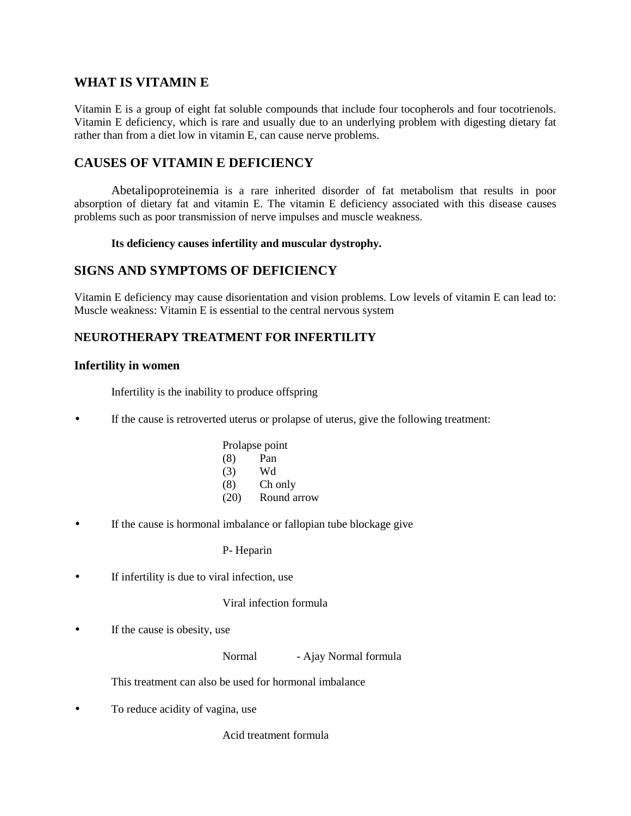# **WHAT IS VITAMIN E**

Vitamin E is a group of eight fat soluble compounds that include four tocopherols and four tocotrienols. Vitamin E deficiency, which is rare and usually due to an underlying problem with digesting dietary fat rather than from a diet low in vitamin E, can cause nerve problems.

# **CAUSES OF VITAMIN E DEFICIENCY**

Abetalipoproteinemia is a rare inherited disorder of fat metabolism that results in poor absorption of dietary fat and vitamin E. The vitamin E deficiency associated with this disease causes problems such as poor transmission of nerve impulses and muscle weakness.

#### **Its deficiency causes infertility and muscular dystrophy.**

## **SIGNS AND SYMPTOMS OF DEFICIENCY**

Vitamin E deficiency may cause disorientation and vision problems. Low levels of vitamin E can lead to: Muscle weakness: Vitamin E is essential to the central nervous system

## **NEUROTHERAPY TREATMENT FOR INFERTILITY**

#### **Infertility in women**

Infertility is the inability to produce offspring

If the cause is retroverted uterus or prolapse of uterus, give the following treatment:

| Prolapse point      |  |
|---------------------|--|
| (8)<br>Pan          |  |
| (3)<br>Wd           |  |
| (8)<br>Ch only      |  |
| (20)<br>Round arrow |  |

If the cause is hormonal imbalance or fallopian tube blockage give

P- Heparin

If infertility is due to viral infection, use

#### Viral infection formula

• If the cause is obesity, use

Normal - Ajay Normal formula

This treatment can also be used for hormonal imbalance

• To reduce acidity of vagina, use

Acid treatment formula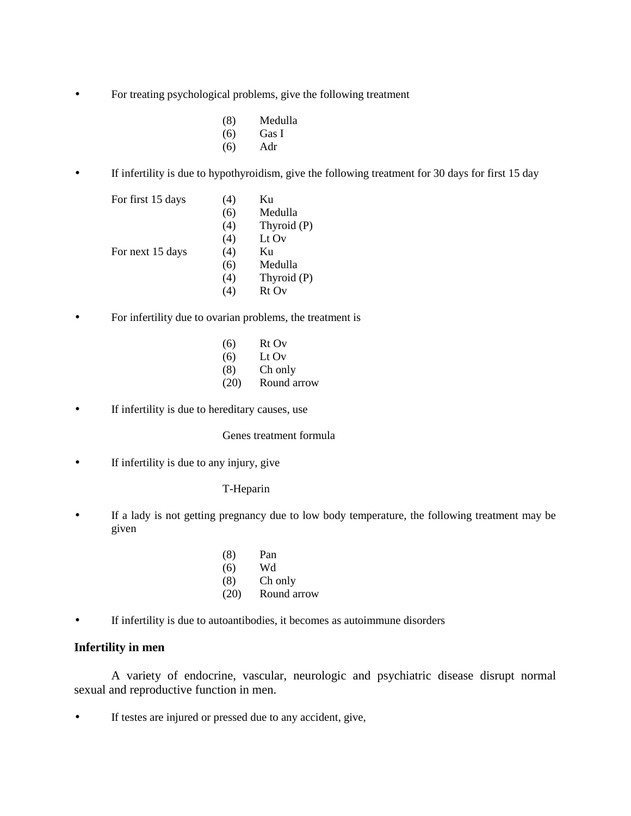- For treating psychological problems, give the following treatment
	- (8) Medulla
	- (6) Gas I
	- (6) Adr
- If infertility is due to hypothyroidism, give the following treatment for 30 days for first 15 day

| For first 15 days | (4)      | Ku          |  |
|-------------------|----------|-------------|--|
|                   | (6)      | Medulla     |  |
|                   | (4)      | Thyroid (P) |  |
|                   | (4)      | Lt Ov       |  |
| For next 15 days  | (4)      | Ku          |  |
|                   | (6)      | Medulla     |  |
|                   | (4)      | Thyroid (P) |  |
|                   | <b>4</b> | Rt Ov       |  |

• For infertility due to ovarian problems, the treatment is

| (6)  | Rt Ov       |
|------|-------------|
| (6)  | Lt $Ov$     |
| (8)  | Ch only     |
| (20) | Round arrow |

If infertility is due to hereditary causes, use

Genes treatment formula

• If infertility is due to any injury, give

T-Heparin

- If a lady is not getting pregnancy due to low body temperature, the following treatment may be given
	- (8) Pan (6) Wd
	- (8) Ch only
	- (20) Round arrow
- If infertility is due to autoantibodies, it becomes as autoimmune disorders

### **Infertility in men**

A variety of endocrine, vascular, neurologic and psychiatric disease disrupt normal sexual and reproductive function in men.

If testes are injured or pressed due to any accident, give,